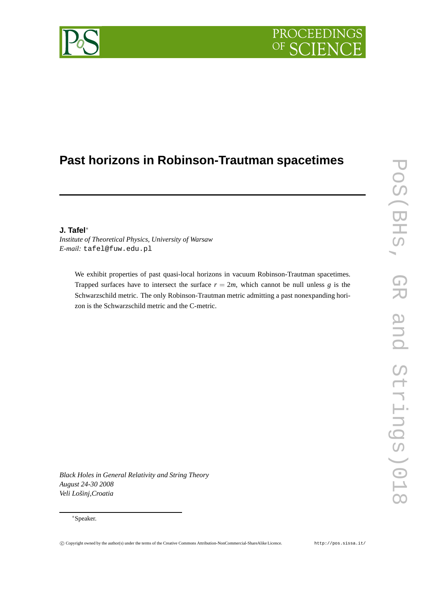## PROCEEDING  $OF$

# **Past horizons in Robinson-Trautman spacetimes**

### **J. Tafel**<sup>∗</sup>

*Institute of Theoretical Physics, University of Warsaw E-mail:* tafel@fuw.edu.pl

We exhibit properties of past quasi-local horizons in vacuum Robinson-Trautman spacetimes. Trapped surfaces have to intersect the surface  $r = 2m$ , which cannot be null unless *g* is the Schwarzschild metric. The only Robinson-Trautman metric admitting a past nonexpanding horizon is the Schwarzschild metric and the C-metric.

*Black Holes in General Relativity and String Theory August 24-30 2008 Veli Lošinj,Croatia*

#### <sup>∗</sup>Speaker.



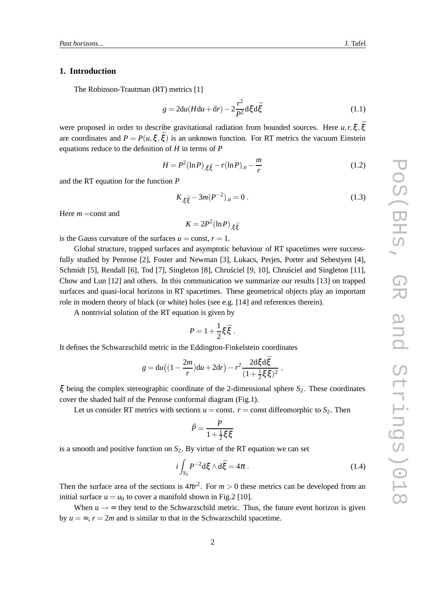#### **1. Introduction**

The Robinson-Trautman (RT) metrics [1]

$$
g = 2du(Hdu + dr) - 2\frac{r^2}{P^2}d\xi d\xi
$$
 (1.1)

were proposed in order to describe gravitational radiation from bounded sources. Here  $u, r, \xi, \bar{\xi}$ are coordinates and  $P = P(u, \xi, \bar{\xi})$  is an unknown function. For RT metrics the vacuum Einstein equations reduce to the definition of *H* in terms of *P*

$$
H = P^{2}(\ln P)_{,\xi\xi} - r(\ln P)_{,\mu} - \frac{m}{r}
$$
 (1.2)

and the RT equation for the function *P*

$$
K_{,\xi\bar{\xi}} - 3m(P^{-2})_{,\mu} = 0 \tag{1.3}
$$

Here *m* = const and

 $K = 2P^2(\ln P)_{,\xi \bar{\xi}}$ 

is the Gauss curvature of the surfaces  $u = \text{const}, r = 1$ .

Global structure, trapped surfaces and asymptotic behaviour of RT spacetimes were successfully studied by Penrose [2], Foster and Newman [3], Lukacs, Perjes, Porter and Sebestyen [4], Schmidt [5], Rendall [6], Tod [7], Singleton [8], Chrusciel [9, 10], Chrusciel and Singleton  $[11]$ , Chow and Lun [12] and others. In this communication we summarize our results [13] on trapped surfaces and quasi-local horizons in RT spacetimes. These geometrical objects play an important role in modern theory of black (or white) holes (see e.g. [14] and references therein).

A nontrivial solution of the RT equation is given by

$$
P=1+\frac{1}{2}\xi\bar{\xi}.
$$

It defines the Schwarzschild metric in the Eddington-Finkelstein coordinates

$$
g = du \left( \left( 1 - \frac{2m}{r} \right) du + 2dr \right) - r^2 \frac{2d \xi d \bar{\xi}}{(1 + \frac{1}{2} \xi \bar{\xi})^2} ,
$$

ξ being the complex stereographic coordinate of the 2-dimensional sphere  $S_2$ . These coordinates cover the shaded half of the Penrose conformal diagram (Fig.1).

Let us consider RT metrics with sections  $u =$  const,  $r =$  const diffeomorphic to  $S_2$ . Then

$$
\hat{P} = \frac{P}{1 + \frac{1}{2}\xi\bar{\xi}}
$$

is a smooth and positive function on  $S_2$ . By virtue of the RT equation we can set

$$
i \int_{S_2} P^{-2} d\xi \wedge d\xi = 4\pi . \qquad (1.4)
$$

Then the surface area of the sections is  $4\pi r^2$ . For  $m > 0$  these metrics can be developed from an initial surface  $u = u_0$  to cover a manifold shown in Fig. 2 [10].

When  $u \rightarrow \infty$  they tend to the Schwarzschild metric. Thus, the future event horizon is given by  $u = \infty$ ,  $r = 2m$  and is similar to that in the Schwarzschild spacetime.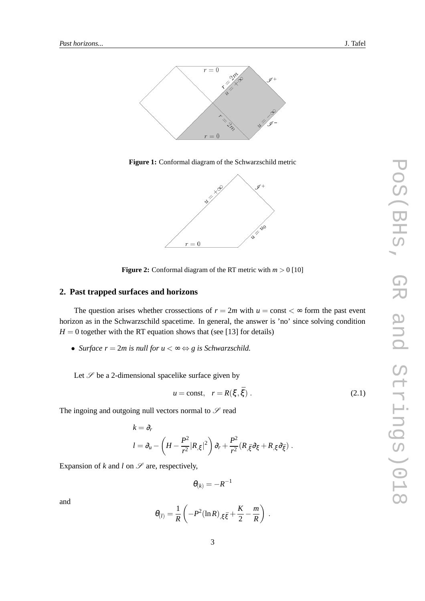

**Figure 1:** Conformal diagram of the Schwarzschild metric



**Figure 2:** Conformal diagram of the RT metric with  $m > 0$  [10]

### **2. Past trapped surfaces and horizons**

The question arises whether crossections of  $r = 2m$  with  $u =$  const  $\lt \infty$  form the past event horizon as in the Schwarzschild spacetime. In general, the answer is 'no' since solving condition  $H = 0$  together with the RT equation shows that (see [13] for details)

• *Surface*  $r = 2m$  *is null for*  $u < \infty \Leftrightarrow g$  *is Schwarzschild.* 

Let  $\mathscr S$  be a 2-dimensional spacelike surface given by

$$
u = \text{const}, \quad r = R(\xi, \bar{\xi}) \,. \tag{2.1}
$$

The ingoing and outgoing null vectors normal to  $\mathscr S$  read

$$
k = \partial_r
$$
  
\n
$$
l = \partial_u - \left( H - \frac{P^2}{r^2} |R_{,\xi}|^2 \right) \partial_r + \frac{P^2}{r^2} (R_{,\xi} \partial_{\xi} + R_{,\xi} \partial_{\xi}).
$$

Expansion of  $k$  and  $l$  on  $\mathscr S$  are, respectively,

$$
\theta_{(k)}=-R^{-1}
$$

and

$$
\theta_{(l)} = \frac{1}{R} \left( -P^2 (\ln R)_{,\xi \bar{\xi}} + \frac{K}{2} - \frac{m}{R} \right) .
$$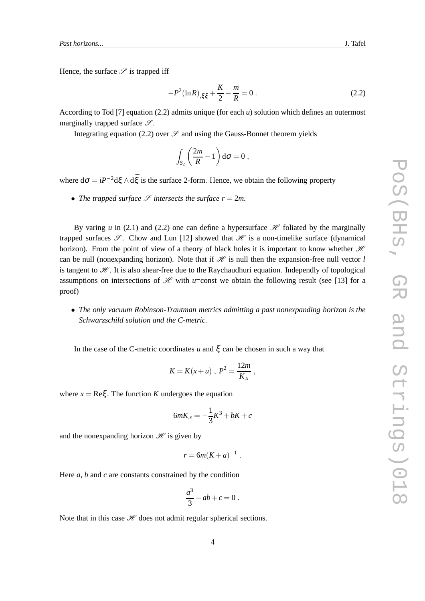Hence, the surface  $\mathscr S$  is trapped iff

$$
-P^{2}(\ln R)_{,\xi\xi} + \frac{K}{2} - \frac{m}{R} = 0.
$$
 (2.2)

According to Tod [7] equation (2.2) admits unique (for each *u*) solution which defines an outermost marginally trapped surface  $\mathscr{S}$ .

Integrating equation (2.2) over  $\mathscr S$  and using the Gauss-Bonnet theorem yields

$$
\int_{S_2} \left(\frac{2m}{R} - 1\right) d\sigma = 0,
$$

where  $d\sigma = iP^{-2}d\xi \wedge d\bar{\xi}$  is the surface 2-form. Hence, we obtain the following property

• *The trapped surface*  $\mathcal{S}$  *intersects the surface*  $r = 2m$ *.* 

By varing *u* in (2.1) and (2.2) one can define a hypersurface  $\mathcal H$  foliated by the marginally trapped surfaces  $\mathscr{S}$ . Chow and Lun [12] showed that  $\mathscr{H}$  is a non-timelike surface (dynamical horizon). From the point of view of a theory of black holes it is important to know whether  $H$ can be null (nonexpanding horizon). Note that if  $\mathcal H$  is null then the expansion-free null vector *l* is tangent to  $H$ . It is also shear-free due to the Raychaudhuri equation. Independly of topological assumptions on intersections of  $\mathcal H$  with *u*=const we obtain the following result (see [13] for a proof)

• *The only vacuum Robinson-Trautman metrics admitting a past nonexpanding horizon is the Schwarzschild solution and the C-metric.*

In the case of the C-metric coordinates  $u$  and  $\xi$  can be chosen in such a way that

$$
K = K(x+u) , P^2 = \frac{12m}{K_{,x}} ,
$$

where  $x = \text{Re}\xi$ . The function *K* undergoes the equation

$$
6mK_{,x} = -\frac{1}{3}K^3 + bK + c
$$

and the nonexpanding horizon  $\mathcal H$  is given by

$$
r = 6m(K+a)^{-1}.
$$

Here *a*, *b* and *c* are constants constrained by the condition

$$
\frac{a^3}{3} - ab + c = 0.
$$

Note that in this case  $\mathcal H$  does not admit regular spherical sections.